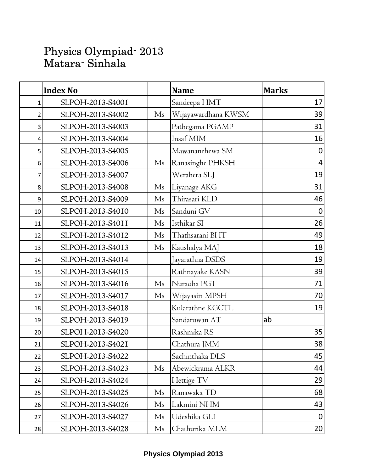## Physics Olympiad- 2013 Matara- Sinhala

|    | <b>Index No</b>  |                | <b>Name</b>         | <b>Marks</b>     |
|----|------------------|----------------|---------------------|------------------|
| 1  | SLPOH-2013-S4001 |                | Sandeepa HMT        | 17               |
| 2  | SLPOH-2013-S4002 | M <sub>s</sub> | Wijayawardhana KWSM | 39               |
| 3  | SLPOH-2013-S4003 |                | Pathegama PGAMP     | 31               |
| 4  | SLPOH-2013-S4004 |                | Insaf MIM           | 16               |
| 5  | SLPOH-2013-S4005 |                | Mawananehewa SM     | $\boldsymbol{0}$ |
| 6  | SLPOH-2013-S4006 | Ms             | Ranasinghe PHKSH    | $\overline{4}$   |
| 7  | SLPOH-2013-S4007 |                | Werahera SLJ        | 19               |
| 8  | SLPOH-2013-S4008 | Ms             | Liyanage AKG        | 31               |
| 9  | SLPOH-2013-S4009 | Ms             | Thirasari KLD       | 46               |
| 10 | SLPOH-2013-S4010 | M <sub>s</sub> | Sanduni GV          | $\boldsymbol{0}$ |
| 11 | SLPOH-2013-S4011 | M <sub>s</sub> | Isthikar SI         | 26               |
| 12 | SLPOH-2013-S4012 | Ms             | Thathsarani BHT     | 49               |
| 13 | SLPOH-2013-S4013 | M <sub>s</sub> | Kaushalya MAJ       | 18               |
| 14 | SLPOH-2013-S4014 |                | Jayarathna DSDS     | 19               |
| 15 | SLPOH-2013-S4015 |                | Rathnayake KASN     | 39               |
| 16 | SLPOH-2013-S4016 | Ms             | Nuradha PGT         | 71               |
| 17 | SLPOH-2013-S4017 | M <sub>s</sub> | Wijayasiri MPSH     | 70               |
| 18 | SLPOH-2013-S4018 |                | Kularathne KGCTL    | 19               |
| 19 | SLPOH-2013-S4019 |                | Sandaruwan AT       | ab               |
| 20 | SLPOH-2013-S4020 |                | Rashmika RS         | 35               |
| 21 | SLPOH-2013-S4021 |                | Chathura JMM        | 38               |
| 22 | SLPOH-2013-S4022 |                | Sachinthaka DLS     | 45               |
| 23 | SLPOH-2013-S4023 | Ms             | Abewickrama ALKR    | 44               |
| 24 | SLPOH-2013-S4024 |                | Hettige TV          | 29               |
| 25 | SLPOH-2013-S4025 | M <sub>s</sub> | Ranawaka TD         | 68               |
| 26 | SLPOH-2013-S4026 | Ms             | Lakmini NHM         | 43               |
| 27 | SLPOH-2013-S4027 | Ms             | Udeshika GLI        | $\boldsymbol{0}$ |
| 28 | SLPOH-2013-S4028 | Ms             | Chathurika MLM      | 20               |

## **Physics Olympiad 2013**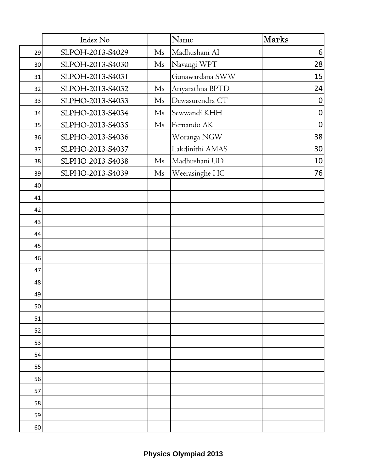|    | Index No         |                | Name             | <b>Marks</b>     |
|----|------------------|----------------|------------------|------------------|
| 29 | SLPOH-2013-S4029 | Ms             | Madhushani AI    | 6                |
| 30 | SLPOH-2013-S4030 | M <sub>s</sub> | Navangi WPT      | 28               |
| 31 | SLPOH-2013-S4031 |                | Gunawardana SWW  | 15               |
| 32 | SLPOH-2013-S4032 | Ms             | Ariyarathna BPTD | 24               |
| 33 | SLPHO-2013-S4033 | Ms             | Dewasurendra CT  | $\boldsymbol{0}$ |
| 34 | SLPHO-2013-S4034 | M <sub>s</sub> | Sewwandi KHH     | $\pmb{0}$        |
| 35 | SLPHO-2013-S4035 | M <sub>s</sub> | Fernando AK      | $\mathbf 0$      |
| 36 | SLPHO-2013-S4036 |                | Woranga NGW      | 38               |
| 37 | SLPHO-2013-S4037 |                | Lakdinithi AMAS  | 30               |
| 38 | SLPHO-2013-S4038 | Ms             | Madhushani UD    | 10               |
| 39 | SLPHO-2013-S4039 | Ms             | Weerasinghe HC   | 76               |
| 40 |                  |                |                  |                  |
| 41 |                  |                |                  |                  |
| 42 |                  |                |                  |                  |
| 43 |                  |                |                  |                  |
| 44 |                  |                |                  |                  |
| 45 |                  |                |                  |                  |
| 46 |                  |                |                  |                  |
| 47 |                  |                |                  |                  |
| 48 |                  |                |                  |                  |
| 49 |                  |                |                  |                  |
| 50 |                  |                |                  |                  |
| 51 |                  |                |                  |                  |
| 52 |                  |                |                  |                  |
| 53 |                  |                |                  |                  |
| 54 |                  |                |                  |                  |
| 55 |                  |                |                  |                  |
| 56 |                  |                |                  |                  |
| 57 |                  |                |                  |                  |
| 58 |                  |                |                  |                  |
| 59 |                  |                |                  |                  |
| 60 |                  |                |                  |                  |